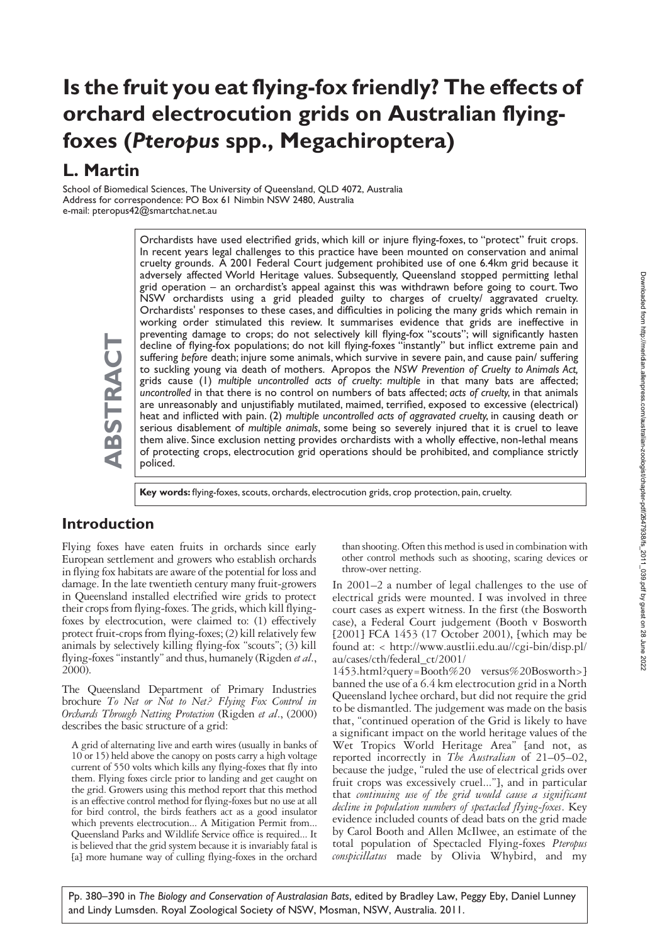# **Is the fruit you eat flying-fox friendly? The effects of orchard electrocution grids on Australian flyingfoxes (***Pteropus* **spp., Megachiroptera)**

# **L. Martin**

School of Biomedical Sciences, The University of Queensland, QLD 4072, Australia Address for correspondence: PO Box 61 Nimbin NSW 2480, Australia e-mail: pteropus42@smartchat.net.au

> Orchardists have used electrified grids, which kill or injure flying-foxes, to "protect" fruit crops. In recent years legal challenges to this practice have been mounted on conservation and animal cruelty grounds. A 2001 Federal Court judgement prohibited use of one 6.4km grid because it adversely affected World Heritage values. Subsequently, Queensland stopped permitting lethal grid operation – an orchardist's appeal against this was withdrawn before going to court. Two NSW orchardists using a grid pleaded guilty to charges of cruelty/ aggravated cruelty. Orchardists' responses to these cases, and difficulties in policing the many grids which remain in working order stimulated this review. It summarises evidence that grids are ineffective in preventing damage to crops; do not selectively kill flying-fox "scouts"; will significantly hasten decline of flying-fox populations; do not kill flying-foxes "instantly" but inflict extreme pain and suffering *before* death; injure some animals, which survive in severe pain, and cause pain/ suffering to suckling young via death of mothers. Apropos the *NSW Prevention of Cruelty to Animals Act,* grids cause (1) *multiple uncontrolled acts of cruelty*: *multiple* in that many bats are affected; *uncontrolled* in that there is no control on numbers of bats affected; *acts of cruelty*, in that animals are unreasonably and unjustifiably mutilated, maimed, terrified, exposed to excessive (electrical) heat and inflicted with pain. (2) *multiple uncontrolled acts of aggravated cruelty*, in causing death or serious disablement of *multiple animals*, some being so severely injured that it is cruel to leave them alive. Since exclusion netting provides orchardists with a wholly effective, non-lethal means of protecting crops, electrocution grid operations should be prohibited, and compliance strictly policed.

**ABSTRACT** ABSTRACT

**Key words:** flying-foxes, scouts, orchards, electrocution grids, crop protection, pain, cruelty.

### **Introduction**

Flying foxes have eaten fruits in orchards since early European settlement and growers who establish orchards in flying fox habitats are aware of the potential for loss and damage. In the late twentieth century many fruit-growers in Queensland installed electrified wire grids to protect their crops from flying-foxes. The grids, which kill flyingfoxes by electrocution, were claimed to: (1) effectively protect fruit-crops from flying-foxes; (2) kill relatively few animals by selectively killing flying-fox "scouts"; (3) kill flying-foxes "instantly" and thus, humanely (Rigden *et al*., 2000).

The Queensland Department of Primary Industries brochure *To Net or Not to Net? Flying Fox Control in Orchards Through Netting Protection* (Rigden *et al*., (2000) describes the basic structure of a grid:

A grid of alternating live and earth wires (usually in banks of 10 or 15) held above the canopy on posts carry a high voltage current of 550 volts which kills any flying-foxes that fly into them. Flying foxes circle prior to landing and get caught on the grid. Growers using this method report that this method is an effective control method for flying-foxes but no use at all for bird control, the birds feathers act as a good insulator which prevents electrocution... A Mitigation Permit from... Queensland Parks and Wildlife Service office is required... It is believed that the grid system because it is invariably fatal is [a] more humane way of culling flying-foxes in the orchard

than shooting. Often this method is used in combination with other control methods such as shooting, scaring devices or throw-over netting.

In 2001–2 a number of legal challenges to the use of electrical grids were mounted. I was involved in three court cases as expert witness. In the first (the Bosworth case), a Federal Court judgement (Booth v Bosworth [2001] FCA 1453 (17 October 2001), [which may be found at: < http://www.austlii.edu.au//cgi-bin/disp.pl/ au/cases/cth/federal\_ct/2001/

1453.html?query=Booth%20 versus%20Bosworth>] banned the use of a 6.4 km electrocution grid in a North Queensland lychee orchard, but did not require the grid to be dismantled. The judgement was made on the basis that, "continued operation of the Grid is likely to have a significant impact on the world heritage values of the Wet Tropics World Heritage Area" [and not, as reported incorrectly in *The Australian* of 21–05–02, because the judge, "ruled the use of electrical grids over fruit crops was excessively cruel..."], and in particular that *continuing use of the grid would cause a significant decline in population numbers of spectacled flying-foxes*. Key evidence included counts of dead bats on the grid made by Carol Booth and Allen McIlwee, an estimate of the total population of Spectacled Flying-foxes *Pteropus conspicillatus* made by Olivia Whybird, and my

Pp. 380–390 in *The Biology and Conservation of Australasian Bats*, edited by Bradley Law, Peggy Eby, Daniel Lunney and Lindy Lumsden. Royal Zoological Society of NSW, Mosman, NSW, Australia. 2011.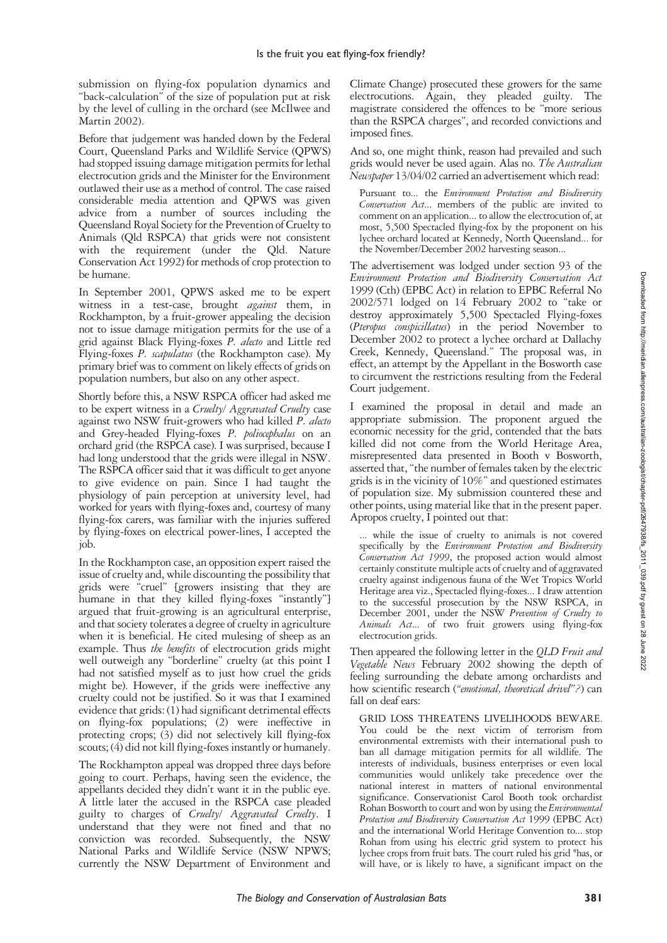submission on flying-fox population dynamics and "back-calculation" of the size of population put at risk by the level of culling in the orchard (see McIlwee and Martin 2002).

Before that judgement was handed down by the Federal Court, Queensland Parks and Wildlife Service (QPWS) had stopped issuing damage mitigation permits for lethal electrocution grids and the Minister for the Environment outlawed their use as a method of control. The case raised considerable media attention and QPWS was given advice from a number of sources including the Queensland Royal Society for the Prevention of Cruelty to Animals (Qld RSPCA) that grids were not consistent with the requirement (under the Qld. Nature Conservation Act 1992) for methods of crop protection to be humane.

In September 2001, QPWS asked me to be expert witness in a test-case, brought *against* them, in Rockhampton, by a fruit-grower appealing the decision not to issue damage mitigation permits for the use of a grid against Black Flying-foxes *P. alecto* and Little red Flying-foxes *P. scapulatus* (the Rockhampton case). My primary brief was to comment on likely effects of grids on population numbers, but also on any other aspect.

Shortly before this, a NSW RSPCA officer had asked me to be expert witness in a *Cruelty/ Aggravated Cruelty* case against two NSW fruit-growers who had killed *P. alecto* and Grey-headed Flying-foxes *P. poliocephalus* on an orchard grid (the RSPCA case). I was surprised, because I had long understood that the grids were illegal in NSW. The RSPCA officer said that it was difficult to get anyone to give evidence on pain. Since I had taught the physiology of pain perception at university level, had worked for years with flying-foxes and, courtesy of many flying-fox carers, was familiar with the injuries suffered by flying-foxes on electrical power-lines, I accepted the job.

In the Rockhampton case, an opposition expert raised the issue of cruelty and, while discounting the possibility that grids were "cruel" [growers insisting that they are humane in that they killed flying-foxes "instantly"] argued that fruit-growing is an agricultural enterprise, and that society tolerates a degree of cruelty in agriculture when it is beneficial. He cited mulesing of sheep as an example. Thus *the benefits* of electrocution grids might well outweigh any "borderline" cruelty (at this point I had not satisfied myself as to just how cruel the grids might be). However, if the grids were ineffective any cruelty could not be justified. So it was that I examined evidence that grids: (1) had significant detrimental effects on flying-fox populations; (2) were ineffective in protecting crops; (3) did not selectively kill flying-fox scouts; (4) did not kill flying-foxes instantly or humanely.

The Rockhampton appeal was dropped three days before going to court. Perhaps, having seen the evidence, the appellants decided they didn't want it in the public eye. A little later the accused in the RSPCA case pleaded guilty to charges of *Cruelty/ Aggravated Cruelty*. I understand that they were not fined and that no conviction was recorded. Subsequently, the NSW National Parks and Wildlife Service (NSW NPWS; currently the NSW Department of Environment and Climate Change) prosecuted these growers for the same electrocutions. Again, they pleaded guilty. The magistrate considered the offences to be "more serious than the RSPCA charges", and recorded convictions and imposed fines.

And so, one might think, reason had prevailed and such grids would never be used again. Alas no. *The Australian Newspaper* 13/04/02 carried an advertisement which read:

Pursuant to... the *Environment Protection and Biodiversity Conservation Act*... members of the public are invited to comment on an application... to allow the electrocution of, at most, 5,500 Spectacled flying-fox by the proponent on his lychee orchard located at Kennedy, North Queensland... for the November/December 2002 harvesting season...

The advertisement was lodged under section 93 of the *Environment Protection and Biodiversity Conservation Act* 1999 (Cth) (EPBC Act) in relation to EPBC Referral No 2002/571 lodged on 14 February 2002 to "take or destroy approximately 5,500 Spectacled Flying-foxes (*Pteropus conspicillatus*) in the period November to December 2002 to protect a lychee orchard at Dallachy Creek, Kennedy, Queensland." The proposal was, in effect, an attempt by the Appellant in the Bosworth case to circumvent the restrictions resulting from the Federal Court judgement.

I examined the proposal in detail and made an appropriate submission. The proponent argued the economic necessity for the grid, contended that the bats killed did not come from the World Heritage Area, misrepresented data presented in Booth v Bosworth, asserted that, "the number of females taken by the electric grids is in the vicinity of 10%" and questioned estimates of population size. My submission countered these and other points, using material like that in the present paper. Apropos cruelty, I pointed out that:

... while the issue of cruelty to animals is not covered specifically by the *Environment Protection and Biodiversity Conservation Act 1999*, the proposed action would almost certainly constitute multiple acts of cruelty and of aggravated cruelty against indigenous fauna of the Wet Tropics World Heritage area viz., Spectacled flying-foxes... I draw attention to the successful prosecution by the NSW RSPCA, in December 2001, under the NSW *Prevention of Cruelty to Animals Act*... of two fruit growers using flying-fox electrocution grids.

Then appeared the following letter in the *QLD Fruit and Vegetable News* February 2002 showing the depth of feeling surrounding the debate among orchardists and how scientific research (*"emotional, theoretical drivel"?*) can fall on deaf ears:

GRID LOSS THREATENS LIVELIHOODS BEWARE. You could be the next victim of terrorism from environmental extremists with their international push to ban all damage mitigation permits for all wildlife. The interests of individuals, business enterprises or even local communities would unlikely take precedence over the national interest in matters of national environmental significance. Conservationist Carol Booth took orchardist Rohan Bosworth to court and won by using the *Environmental Protection and Biodiversity Conservation Act* 1999 (EPBC Act) and the international World Heritage Convention to... stop Rohan from using his electric grid system to protect his lychee crops from fruit bats. The court ruled his grid "has, or will have, or is likely to have, a significant impact on the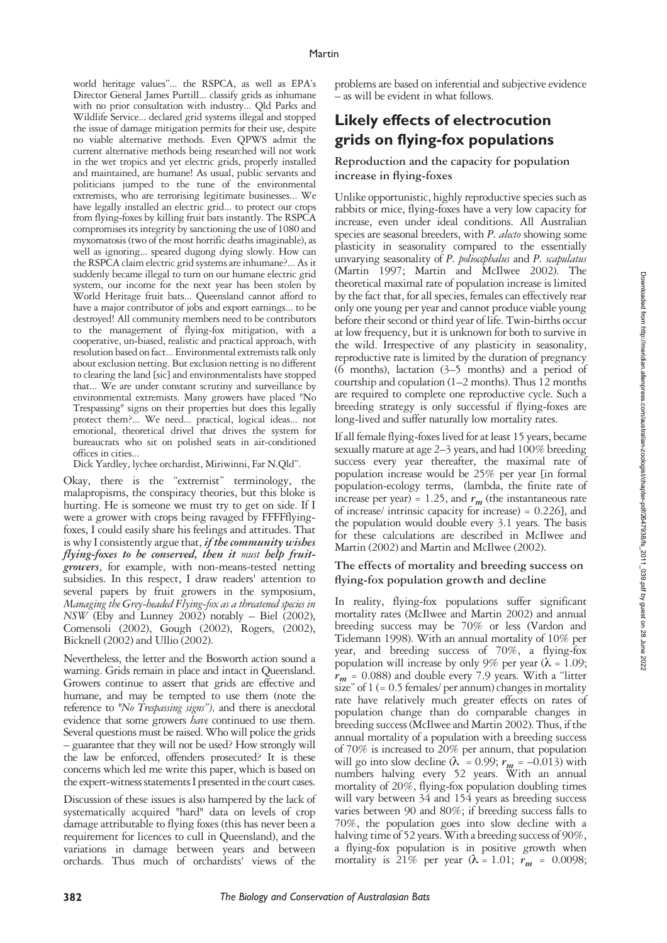world heritage values"... the RSPCA, as well as EPA's Director General James Purtill... classify grids as inhumane with no prior consultation with industry... Qld Parks and Wildlife Service... declared grid systems illegal and stopped the issue of damage mitigation permits for their use, despite no viable alternative methods. Even QPWS admit the current alternative methods being researched will not work in the wet tropics and yet electric grids, properly installed and maintained, are humane! As usual, public servants and politicians jumped to the tune of the environmental extremists, who are terrorising legitimate businesses... We have legally installed an electric grid... to protect our crops from flying-foxes by killing fruit bats instantly. The RSPCA compromises its integrity by sanctioning the use of 1080 and myxomatosis (two of the most horrific deaths imaginable), as well as ignoring... speared dugong dying slowly. How can the RSPCA claim electric grid systems are inhumane?... As it suddenly became illegal to turn on our humane electric grid system, our income for the next year has been stolen by World Heritage fruit bats... Queensland cannot afford to have a major contributor of jobs and export earnings... to be destroyed! All community members need to be contributors to the management of flying-fox mitigation, with a cooperative, un-biased, realistic and practical approach, with resolution based on fact... Environmental extremists talk only about exclusion netting. But exclusion netting is no different to clearing the land [sic] and environmentalists have stopped that... We are under constant scrutiny and surveillance by environmental extremists. Many growers have placed "No Trespassing" signs on their properties but does this legally protect them?... We need... practical, logical ideas... not emotional, theoretical drivel that drives the system for bureaucrats who sit on polished seats in air-conditioned offices in cities...

Dick Yardley, lychee orchardist, Miriwinni, Far N.Qld".

Okay, there is the "extremist" terminology, the malapropisms, the conspiracy theories, but this bloke is hurting. He is someone we must try to get on side. If I were a grower with crops being ravaged by FFFFflyingfoxes, I could easily share his feelings and attitudes. That is why I consistently argue that, *if the community wishes flying-foxes to be conserved, then it must help fruitgrowers*, for example, with non-means-tested netting subsidies. In this respect, I draw readers' attention to several papers by fruit growers in the symposium, *Managing the Grey-headed Flying-fox as a threatened species in NSW* (Eby and Lunney 2002) notably – Biel (2002), Comensoli (2002), Gough (2002), Rogers, (2002), Bicknell (2002) and Ullio (2002).

Nevertheless, the letter and the Bosworth action sound a warning. Grids remain in place and intact in Queensland. Growers continue to assert that grids are effective and humane, and may be tempted to use them (note the reference to *"No Trespassing signs"),* and there is anecdotal evidence that some growers *have* continued to use them. Several questions must be raised. Who will police the grids – guarantee that they will not be used? How strongly will the law be enforced, offenders prosecuted? It is these concerns which led me write this paper, which is based on the expert-witness statements I presented in the court cases.

Discussion of these issues is also hampered by the lack of systematically acquired "hard" data on levels of crop damage attributable to flying foxes (this has never been a requirement for licences to cull in Queensland), and the variations in damage between years and between orchards. Thus much of orchardists' views of the

problems are based on inferential and subjective evidence – as will be evident in what follows.

### **Likely effects of electrocution grids on flying-fox populations**

### **Reproduction and the capacity for population increase in flying-foxes**

Unlike opportunistic, highly reproductive species such as rabbits or mice, flying-foxes have a very low capacity for increase, even under ideal conditions. All Australian species are seasonal breeders, with *P. alecto* showing some plasticity in seasonality compared to the essentially unvarying seasonality of *P. poliocephalus* and *P. scapulatus* (Martin 1997; Martin and McIlwee 2002). The theoretical maximal rate of population increase is limited by the fact that, for all species, females can effectively rear only one young per year and cannot produce viable young before their second or third year of life. Twin-births occur at low frequency, but it is unknown for both to survive in the wild. Irrespective of any plasticity in seasonality, reproductive rate is limited by the duration of pregnancy (6 months), lactation (3–5 months) and a period of courtship and copulation  $(1-2 \text{ months})$ . Thus  $12 \text{ months}$ are required to complete one reproductive cycle. Such a breeding strategy is only successful if flying-foxes are long-lived and suffer naturally low mortality rates.

If all female flying-foxes lived for at least 15 years, became sexually mature at age 2–3 years, and had 100% breeding success every year thereafter, the maximal rate of population increase would be 25% per year [in formal population-ecology terms, (lambda, the finite rate of increase per year) = 1.25, and  $r_m$  (the instantaneous rate of increase/ intrinsic capacity for increase) = 0.226], and the population would double every 3.1 years. The basis for these calculations are described in McIlwee and Martin (2002) and Martin and McIlwee (2002).

#### **The effects of mortality and breeding success on flying-fox population growth and decline**

In reality, flying-fox populations suffer significant mortality rates (McIlwee and Martin 2002) and annual breeding success may be 70% or less (Vardon and Tidemann 1998). With an annual mortality of 10% per year, and breeding success of 70%, a flying-fox population will increase by only 9% per year ( $\lambda = 1.09$ ; *rm* = 0.088) and double every 7.9 years. With a "litter size" of  $1 (= 0.5$  females/ per annum) changes in mortality rate have relatively much greater effects on rates of population change than do comparable changes in breeding success (McIlwee and Martin 2002). Thus, if the annual mortality of a population with a breeding success of 70% is increased to 20% per annum, that population will go into slow decline ( $\lambda = 0.99$ ;  $r_m = -0.013$ ) with numbers halving every 52 years. With an annual mortality of 20%, flying-fox population doubling times will vary between 34 and 154 years as breeding success varies between 90 and 80%; if breeding success falls to 70%, the population goes into slow decline with a halving time of 52 years. With a breeding success of 90%, a flying-fox population is in positive growth when mortality is 21% per year  $(\lambda = 1.01; r_m = 0.0098;$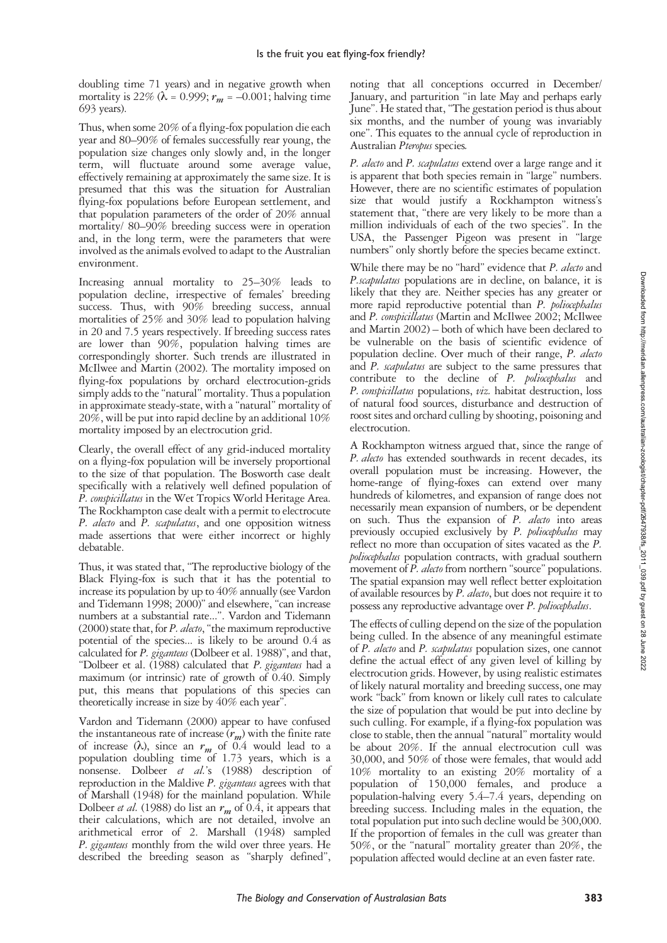doubling time 71 years) and in negative growth when mortality is 22% ( $\lambda$  = 0.999;  $r_m$  = -0.001; halving time 693 years).

Thus, when some 20% of a flying-fox population die each year and 80–90% of females successfully rear young, the population size changes only slowly and, in the longer term, will fluctuate around some average value, effectively remaining at approximately the same size. It is presumed that this was the situation for Australian flying-fox populations before European settlement, and that population parameters of the order of 20% annual mortality/ 80–90% breeding success were in operation and, in the long term, were the parameters that were involved as the animals evolved to adapt to the Australian environment.

Increasing annual mortality to 25–30% leads to population decline, irrespective of females' breeding success. Thus, with 90% breeding success, annual mortalities of 25% and 30% lead to population halving in 20 and 7.5 years respectively. If breeding success rates are lower than 90%, population halving times are correspondingly shorter. Such trends are illustrated in McIlwee and Martin (2002). The mortality imposed on flying-fox populations by orchard electrocution-grids simply adds to the "natural" mortality. Thus a population in approximate steady-state, with a "natural" mortality of 20%, will be put into rapid decline by an additional 10% mortality imposed by an electrocution grid.

Clearly, the overall effect of any grid-induced mortality on a flying-fox population will be inversely proportional to the size of that population. The Bosworth case dealt specifically with a relatively well defined population of *P. conspicillatus* in the Wet Tropics World Heritage Area. The Rockhampton case dealt with a permit to electrocute *P. alecto* and *P. scapulatus*, and one opposition witness made assertions that were either incorrect or highly debatable.

Thus, it was stated that, "The reproductive biology of the Black Flying-fox is such that it has the potential to increase its population by up to 40% annually (see Vardon and Tidemann 1998; 2000)" and elsewhere, "can increase numbers at a substantial rate...". Vardon and Tidemann (2000) state that, for *P. alecto*, "the maximum reproductive potential of the species... is likely to be around 0.4 as calculated for *P. giganteus* (Dolbeer et al. 1988)", and that, "Dolbeer et al. (1988) calculated that *P. giganteus* had a maximum (or intrinsic) rate of growth of 0.40. Simply put, this means that populations of this species can theoretically increase in size by 40% each year".

Vardon and Tidemann (2000) appear to have confused the instantaneous rate of increase  $(r_m)$  with the finite rate of increase  $(\lambda)$ , since an  $r_m$  of 0.4 would lead to a population doubling time of  $1.73$  years, which is a nonsense. Dolbeer *et al.*'s (1988) description of reproduction in the Maldive *P. giganteus* agrees with that of Marshall (1948) for the mainland population. While Dolbeer *et al.* (1988) do list an  $r_m$  of 0.4, it appears that their calculations, which are not detailed, involve an arithmetical error of 2. Marshall (1948) sampled *P. giganteus* monthly from the wild over three years. He described the breeding season as "sharply defined", noting that all conceptions occurred in December/ January, and parturition "in late May and perhaps early June". He stated that, "The gestation period is thus about six months, and the number of young was invariably one". This equates to the annual cycle of reproduction in Australian *Pteropus* species*.*

*P. alecto* and *P. scapulatus* extend over a large range and it is apparent that both species remain in "large" numbers. However, there are no scientific estimates of population size that would justify a Rockhampton witness's statement that, "there are very likely to be more than a million individuals of each of the two species". In the USA, the Passenger Pigeon was present in "large numbers" only shortly before the species became extinct.

While there may be no "hard" evidence that *P. alecto* and *P.scapulatus* populations are in decline, on balance, it is likely that they are. Neither species has any greater or more rapid reproductive potential than *P. poliocephalus* and *P. conspicillatus* (Martin and McIlwee 2002; McIlwee and Martin 2002) – both of which have been declared to be vulnerable on the basis of scientific evidence of population decline. Over much of their range, *P. alecto* and *P. scapulatus* are subject to the same pressures that contribute to the decline of *P. poliocephalus* and *P. conspicillatus* populations, *viz.* habitat destruction, loss of natural food sources, disturbance and destruction of roost sites and orchard culling by shooting, poisoning and electrocution.

A Rockhampton witness argued that, since the range of *P. alecto* has extended southwards in recent decades, its overall population must be increasing. However, the home-range of flying-foxes can extend over many hundreds of kilometres, and expansion of range does not necessarily mean expansion of numbers, or be dependent on such. Thus the expansion of *P. alecto* into areas previously occupied exclusively by *P. poliocephalus* may reflect no more than occupation of sites vacated as the *P. poliocephalus* population contracts, with gradual southern movement of *P. alecto* from northern "source" populations. The spatial expansion may well reflect better exploitation of available resources by *P. alecto*, but does not require it to possess any reproductive advantage over *P. poliocephalus*.

The effects of culling depend on the size of the population being culled. In the absence of any meaningful estimate of *P. alecto* and *P. scapulatus* population sizes, one cannot define the actual effect of any given level of killing by electrocution grids. However, by using realistic estimates of likely natural mortality and breeding success, one may work "back" from known or likely cull rates to calculate the size of population that would be put into decline by such culling. For example, if a flying-fox population was close to stable, then the annual "natural" mortality would be about 20%. If the annual electrocution cull was 30,000, and 50% of those were females, that would add 10% mortality to an existing 20% mortality of a population of 150,000 females, and produce a population-halving every 5.4–7.4 years, depending on breeding success. Including males in the equation, the total population put into such decline would be 300,000. If the proportion of females in the cull was greater than 50%, or the "natural" mortality greater than 20%, the population affected would decline at an even faster rate.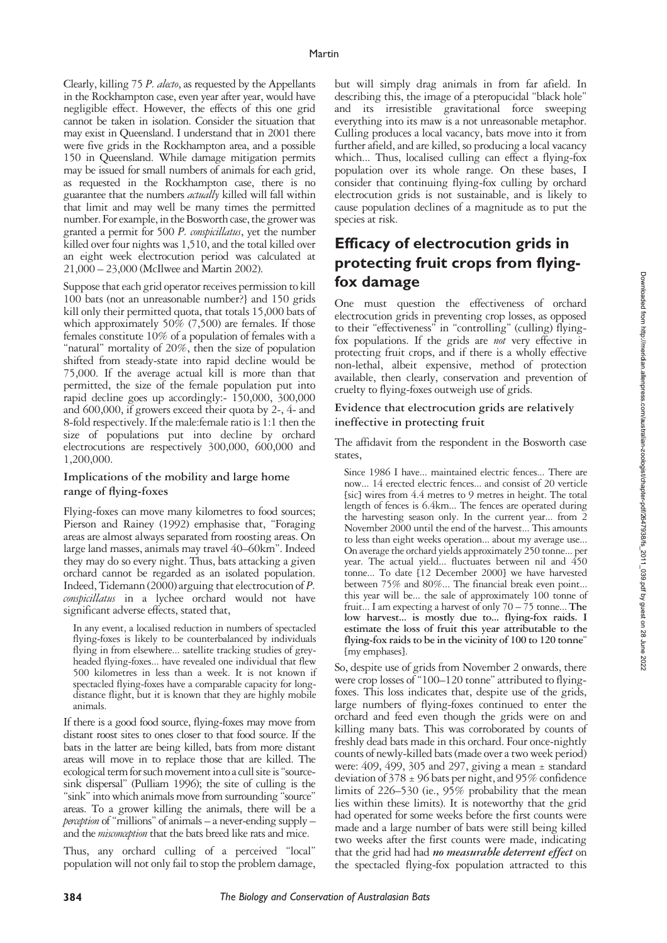Clearly, killing 75 *P. alecto*, as requested by the Appellants in the Rockhampton case, even year after year, would have negligible effect. However, the effects of this one grid cannot be taken in isolation. Consider the situation that may exist in Queensland. I understand that in 2001 there were five grids in the Rockhampton area, and a possible 150 in Queensland. While damage mitigation permits may be issued for small numbers of animals for each grid, as requested in the Rockhampton case, there is no guarantee that the numbers *actually* killed will fall within that limit and may well be many times the permitted number. For example, in the Bosworth case, the grower was granted a permit for 500 *P. conspicillatus*, yet the number killed over four nights was 1,510, and the total killed over an eight week electrocution period was calculated at 21,000 – 23,000 (McIlwee and Martin 2002).

Suppose that each grid operator receives permission to kill 100 bats (not an unreasonable number?} and 150 grids kill only their permitted quota, that totals 15,000 bats of which approximately 50% (7,500) are females. If those females constitute 10% of a population of females with a "natural" mortality of 20%, then the size of population shifted from steady-state into rapid decline would be 75,000. If the average actual kill is more than that permitted, the size of the female population put into rapid decline goes up accordingly:- 150,000, 300,000 and 600,000, if growers exceed their quota by 2-, 4- and 8-fold respectively. If the male:female ratio is 1:1 then the size of populations put into decline by orchard electrocutions are respectively 300,000, 600,000 and 1,200,000.

### **Implications of the mobility and large home range of flying-foxes**

Flying-foxes can move many kilometres to food sources; Pierson and Rainey (1992) emphasise that, "Foraging areas are almost always separated from roosting areas. On large land masses, animals may travel 40–60km". Indeed they may do so every night. Thus, bats attacking a given orchard cannot be regarded as an isolated population. Indeed, Tidemann (2000) arguing that electrocution of *P. conspicillatus* in a lychee orchard would not have significant adverse effects, stated that,

In any event, a localised reduction in numbers of spectacled flying-foxes is likely to be counterbalanced by individuals flying in from elsewhere... satellite tracking studies of greyheaded flying-foxes... have revealed one individual that flew 500 kilometres in less than a week. It is not known if spectacled flying-foxes have a comparable capacity for longdistance flight, but it is known that they are highly mobile animals.

If there is a good food source, flying-foxes may move from distant roost sites to ones closer to that food source. If the bats in the latter are being killed, bats from more distant areas will move in to replace those that are killed. The ecological term for such movement into a cull site is "sourcesink dispersal" (Pulliam 1996); the site of culling is the "sink" into which animals move from surrounding "source" areas. To a grower killing the animals, there will be a *perception* of "millions" of animals – a never-ending supply – and the *misconception* that the bats breed like rats and mice.

Thus, any orchard culling of a perceived "local" population will not only fail to stop the problem damage,

but will simply drag animals in from far afield. In describing this, the image of a pteropucidal "black hole" and its irresistible gravitational force sweeping everything into its maw is a not unreasonable metaphor. Culling produces a local vacancy, bats move into it from further afield, and are killed, so producing a local vacancy which... Thus, localised culling can effect a flying-fox population over its whole range. On these bases, I consider that continuing flying-fox culling by orchard electrocution grids is not sustainable, and is likely to cause population declines of a magnitude as to put the species at risk.

## **Efficacy of electrocution grids in protecting fruit crops from flyingfox damage**

One must question the effectiveness of orchard electrocution grids in preventing crop losses, as opposed to their "effectiveness" in "controlling" (culling) flyingfox populations. If the grids are *not* very effective in protecting fruit crops, and if there is a wholly effective non-lethal, albeit expensive, method of protection available, then clearly, conservation and prevention of cruelty to flying-foxes outweigh use of grids.

#### **Evidence that electrocution grids are relatively ineffective in protecting fruit**

The affidavit from the respondent in the Bosworth case states,

Since 1986 I have... maintained electric fences... There are now... 14 erected electric fences... and consist of 20 verticle [sic] wires from 4.4 metres to 9 metres in height. The total length of fences is 6.4km... The fences are operated during the harvesting season only. In the current year... from 2 November 2000 until the end of the harvest... This amounts to less than eight weeks operation... about my average use... On average the orchard yields approximately 250 tonne... per year. The actual yield... fluctuates between nil and 450 tonne... To date [12 December 2000] we have harvested between 75% and 80%... The financial break even point... this year will be... the sale of approximately 100 tonne of fruit... I am expecting a harvest of only 70 – 75 tonne... **The low harvest... is mostly due to... flying-fox raids. I estimate the loss of fruit this year attributable to the flying-fox raids to be in the vicinity of 100 to 120 tonne**" [my emphases].

So, despite use of grids from November 2 onwards, there were crop losses of "100–120 tonne" attributed to flyingfoxes. This loss indicates that, despite use of the grids, large numbers of flying-foxes continued to enter the orchard and feed even though the grids were on and killing many bats. This was corroborated by counts of freshly dead bats made in this orchard. Four once-nightly counts of newly-killed bats (made over a two week period) were:  $409, 499, 305$  and 297, giving a mean  $\pm$  standard deviation of  $378 \pm 96$  bats per night, and 95% confidence limits of 226–530 (ie., 95% probability that the mean lies within these limits). It is noteworthy that the grid had operated for some weeks before the first counts were made and a large number of bats were still being killed two weeks after the first counts were made, indicating that the grid had had *no measurable deterrent effect* on the spectacled flying-fox population attracted to this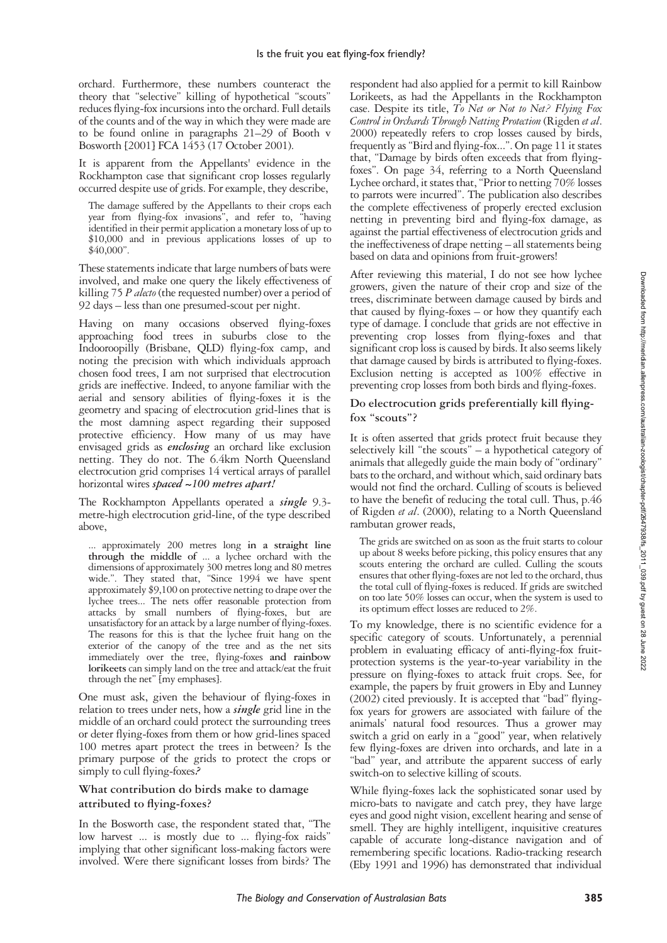orchard. Furthermore, these numbers counteract the theory that "selective" killing of hypothetical "scouts" reduces flying-fox incursions into the orchard. Full details of the counts and of the way in which they were made are to be found online in paragraphs 21–29 of Booth v Bosworth [2001] FCA 1453 (17 October 2001).

It is apparent from the Appellants' evidence in the Rockhampton case that significant crop losses regularly occurred despite use of grids. For example, they describe,

The damage suffered by the Appellants to their crops each year from flying-fox invasions", and refer to, "having identified in their permit application a monetary loss of up to \$10,000 and in previous applications losses of up to \$40,000".

These statements indicate that large numbers of bats were involved, and make one query the likely effectiveness of killing 75 *P alecto* (the requested number) over a period of 92 days – less than one presumed-scout per night.

Having on many occasions observed flying-foxes approaching food trees in suburbs close to the Indooroopilly (Brisbane, QLD) flying-fox camp, and noting the precision with which individuals approach chosen food trees, I am not surprised that electrocution grids are ineffective. Indeed, to anyone familiar with the aerial and sensory abilities of flying-foxes it is the geometry and spacing of electrocution grid-lines that is the most damning aspect regarding their supposed protective efficiency. How many of us may have envisaged grids as *enclosing* an orchard like exclusion netting. They do not. The 6.4km North Queensland electrocution grid comprises 14 vertical arrays of parallel horizontal wires *spaced ~100 metres apart!*

The Rockhampton Appellants operated a *single* 9.3 metre-high electrocution grid-line, of the type described above,

... approximately 200 metres long **in a straight line through the middle of** ... a lychee orchard with the dimensions of approximately 300 metres long and 80 metres wide.". They stated that, "Since 1994 we have spent approximately \$9,100 on protective netting to drape over the lychee trees... The nets offer reasonable protection from attacks by small numbers of flying-foxes, but are unsatisfactory for an attack by a large number of flying-foxes. The reasons for this is that the lychee fruit hang on the exterior of the canopy of the tree and as the net sits immediately over the tree, flying-foxes **and rainbow lorikeets** can simply land on the tree and attack/eat the fruit through the net" [my emphases].

One must ask, given the behaviour of flying-foxes in relation to trees under nets, how a *single* grid line in the middle of an orchard could protect the surrounding trees or deter flying-foxes from them or how grid-lines spaced 100 metres apart protect the trees in between? Is the primary purpose of the grids to protect the crops or simply to cull flying-foxes*?*

### **What contribution do birds make to damage attributed to flying-foxes?**

In the Bosworth case, the respondent stated that, "The low harvest ... is mostly due to ... flying-fox raids" implying that other significant loss-making factors were involved. Were there significant losses from birds? The respondent had also applied for a permit to kill Rainbow Lorikeets, as had the Appellants in the Rockhampton case. Despite its title, *To Net or Not to Net? Flying Fox Control in Orchards Through Netting Protection* (Rigden *et al*. 2000) repeatedly refers to crop losses caused by birds, frequently as "Bird and flying-fox...". On page 11 it states that, "Damage by birds often exceeds that from flyingfoxes". On page 34, referring to a North Queensland Lychee orchard, it states that, "Prior to netting 70% losses to parrots were incurred". The publication also describes the complete effectiveness of properly erected exclusion netting in preventing bird and flying-fox damage, as against the partial effectiveness of electrocution grids and the ineffectiveness of drape netting – all statements being based on data and opinions from fruit-growers!

After reviewing this material, I do not see how lychee growers, given the nature of their crop and size of the trees, discriminate between damage caused by birds and that caused by flying-foxes – or how they quantify each type of damage. I conclude that grids are not effective in preventing crop losses from flying-foxes and that significant crop loss is caused by birds. It also seems likely that damage caused by birds is attributed to flying-foxes. Exclusion netting is accepted as 100% effective in preventing crop losses from both birds and flying-foxes.

### **Do electrocution grids preferentially kill flyingfox "scouts"?**

It is often asserted that grids protect fruit because they selectively kill "the scouts"  $-$  a hypothetical category of animals that allegedly guide the main body of "ordinary" bats to the orchard, and without which, said ordinary bats would not find the orchard. Culling of scouts is believed to have the benefit of reducing the total cull. Thus, p.46 of Rigden *et al*. (2000), relating to a North Queensland rambutan grower reads,

The grids are switched on as soon as the fruit starts to colour up about 8 weeks before picking, this policy ensures that any scouts entering the orchard are culled. Culling the scouts ensures that other flying-foxes are not led to the orchard, thus the total cull of flying-foxes is reduced. If grids are switched on too late 50% losses can occur, when the system is used to its optimum effect losses are reduced to 2%.

To my knowledge, there is no scientific evidence for a specific category of scouts. Unfortunately, a perennial problem in evaluating efficacy of anti-flying-fox fruitprotection systems is the year-to-year variability in the pressure on flying-foxes to attack fruit crops. See, for example, the papers by fruit growers in Eby and Lunney (2002) cited previously. It is accepted that "bad" flyingfox years for growers are associated with failure of the animals' natural food resources. Thus a grower may switch a grid on early in a "good" year, when relatively few flying-foxes are driven into orchards, and late in a "bad" year, and attribute the apparent success of early switch-on to selective killing of scouts.

While flying-foxes lack the sophisticated sonar used by micro-bats to navigate and catch prey, they have large eyes and good night vision, excellent hearing and sense of smell. They are highly intelligent, inquisitive creatures capable of accurate long-distance navigation and of remembering specific locations. Radio-tracking research (Eby 1991 and 1996) has demonstrated that individual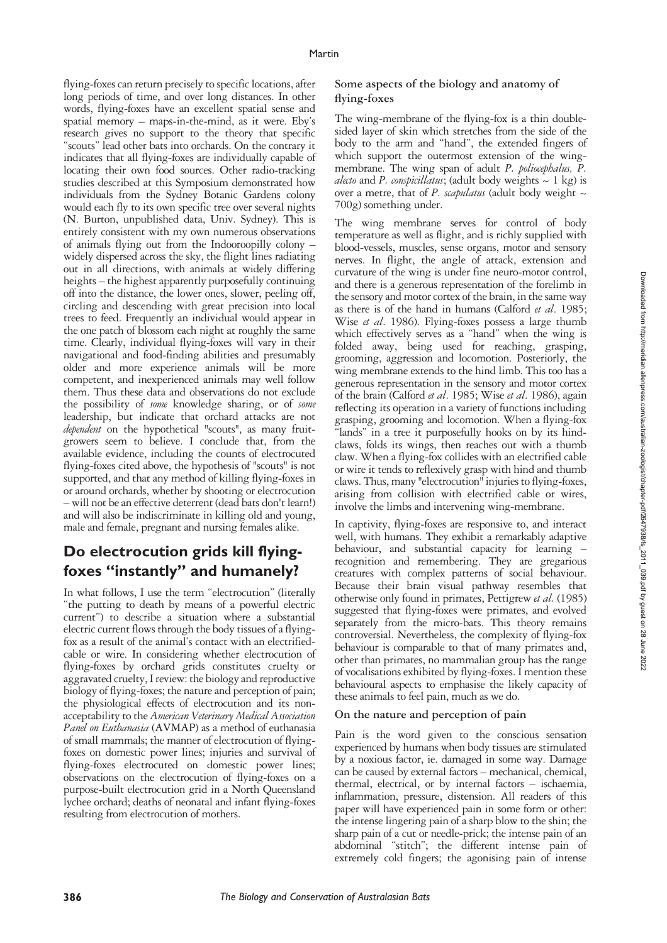flying-foxes can return precisely to specific locations, after long periods of time, and over long distances. In other words, flying-foxes have an excellent spatial sense and spatial memory – maps-in-the-mind, as it were. Eby's research gives no support to the theory that specific "scouts" lead other bats into orchards. On the contrary it indicates that all flying-foxes are individually capable of locating their own food sources. Other radio-tracking studies described at this Symposium demonstrated how individuals from the Sydney Botanic Gardens colony would each fly to its own specific tree over several nights (N. Burton, unpublished data, Univ. Sydney). This is entirely consistent with my own numerous observations of animals flying out from the Indooroopilly colony – widely dispersed across the sky, the flight lines radiating out in all directions, with animals at widely differing heights – the highest apparently purposefully continuing off into the distance, the lower ones, slower, peeling off, circling and descending with great precision into local trees to feed. Frequently an individual would appear in the one patch of blossom each night at roughly the same time. Clearly, individual flying-foxes will vary in their navigational and food-finding abilities and presumably older and more experience animals will be more competent, and inexperienced animals may well follow them. Thus these data and observations do not exclude the possibility of *some* knowledge sharing, or of *some* leadership, but indicate that orchard attacks are not *dependent* on the hypothetical "scouts", as many fruitgrowers seem to believe. I conclude that, from the available evidence, including the counts of electrocuted flying-foxes cited above, the hypothesis of "scouts" is not supported, and that any method of killing flying-foxes in or around orchards, whether by shooting or electrocution – will not be an effective deterrent (dead bats don't learn!) and will also be indiscriminate in killing old and young, male and female, pregnant and nursing females alike.

### **Do electrocution grids kill flyingfoxes "instantly" and humanely?**

In what follows, I use the term "electrocution" (literally "the putting to death by means of a powerful electric current") to describe a situation where a substantial electric current flows through the body tissues of a flyingfox as a result of the animal's contact with an electrifiedcable or wire. In considering whether electrocution of flying-foxes by orchard grids constitutes cruelty or aggravated cruelty, I review: the biology and reproductive biology of flying-foxes; the nature and perception of pain; the physiological effects of electrocution and its nonacceptability to the *American Veterinary Medical Association Panel on Euthanasia* (AVMAP) as a method of euthanasia of small mammals; the manner of electrocution of flyingfoxes on domestic power lines; injuries and survival of flying-foxes electrocuted on domestic power lines; observations on the electrocution of flying-foxes on a purpose-built electrocution grid in a North Queensland lychee orchard; deaths of neonatal and infant flying-foxes resulting from electrocution of mothers.

### **Some aspects of the biology and anatomy of flying-foxes**

The wing-membrane of the flying-fox is a thin doublesided layer of skin which stretches from the side of the body to the arm and "hand", the extended fingers of which support the outermost extension of the wingmembrane. The wing span of adult *P. poliocephalus, P. alecto* and *P. conspicillatus*; (adult body weights  $\sim 1$  kg) is over a metre, that of *P. scapulatus* (adult body weight ~ 700g) something under.

The wing membrane serves for control of body temperature as well as flight, and is richly supplied with blood-vessels, muscles, sense organs, motor and sensory nerves. In flight, the angle of attack, extension and curvature of the wing is under fine neuro-motor control, and there is a generous representation of the forelimb in the sensory and motor cortex of the brain, in the same way as there is of the hand in humans (Calford *et al*. 1985; Wise *et al*. 1986). Flying-foxes possess a large thumb which effectively serves as a "hand" when the wing is folded away, being used for reaching, grasping, grooming, aggression and locomotion. Posteriorly, the wing membrane extends to the hind limb. This too has a generous representation in the sensory and motor cortex of the brain (Calford *et al*. 1985; Wise *et al*. 1986), again reflecting its operation in a variety of functions including grasping, grooming and locomotion. When a flying-fox "lands" in a tree it purposefully hooks on by its hindclaws, folds its wings, then reaches out with a thumb claw. When a flying-fox collides with an electrified cable or wire it tends to reflexively grasp with hind and thumb claws. Thus, many "electrocution" injuries to flying-foxes, arising from collision with electrified cable or wires, involve the limbs and intervening wing-membrane.

In captivity, flying-foxes are responsive to, and interact well, with humans. They exhibit a remarkably adaptive behaviour, and substantial capacity for learning – recognition and remembering. They are gregarious creatures with complex patterns of social behaviour. Because their brain visual pathway resembles that otherwise only found in primates, Pettigrew *et al.* (1985) suggested that flying-foxes were primates, and evolved separately from the micro-bats. This theory remains controversial. Nevertheless, the complexity of flying-fox behaviour is comparable to that of many primates and, other than primates, no mammalian group has the range of vocalisations exhibited by flying-foxes. I mention these behavioural aspects to emphasise the likely capacity of these animals to feel pain, much as we do.

### **On the nature and perception of pain**

Pain is the word given to the conscious sensation experienced by humans when body tissues are stimulated by a noxious factor, ie. damaged in some way. Damage can be caused by external factors – mechanical, chemical, thermal, electrical, or by internal factors – ischaemia, inflammation, pressure, distension. All readers of this paper will have experienced pain in some form or other: the intense lingering pain of a sharp blow to the shin; the sharp pain of a cut or needle-prick; the intense pain of an abdominal "stitch"; the different intense pain of extremely cold fingers; the agonising pain of intense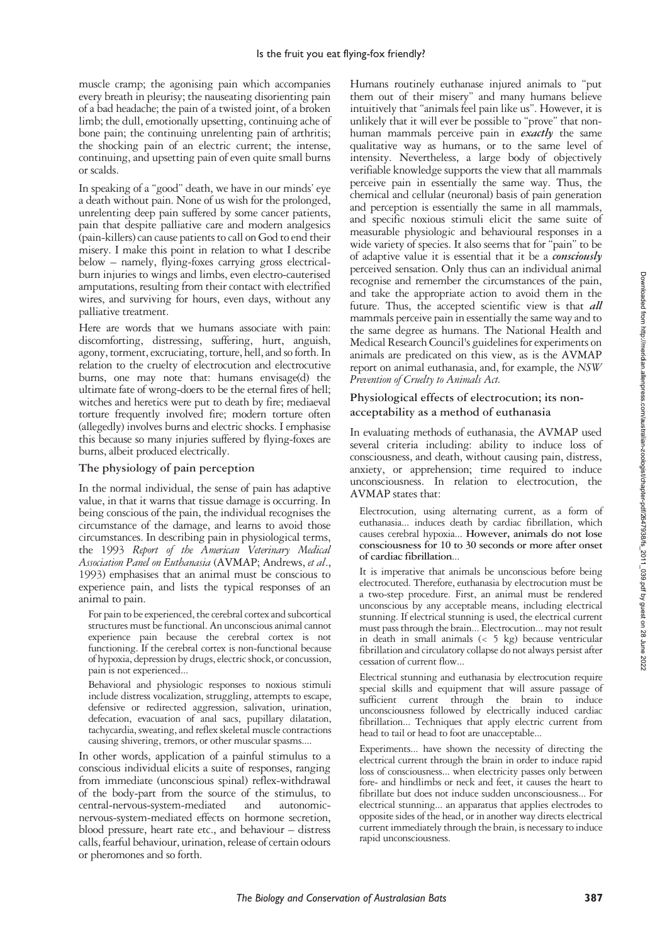muscle cramp; the agonising pain which accompanies every breath in pleurisy; the nauseating disorienting pain of a bad headache; the pain of a twisted joint, of a broken limb; the dull, emotionally upsetting, continuing ache of bone pain; the continuing unrelenting pain of arthritis; the shocking pain of an electric current; the intense, continuing, and upsetting pain of even quite small burns or scalds.

In speaking of a "good" death, we have in our minds' eye a death without pain. None of us wish for the prolonged, unrelenting deep pain suffered by some cancer patients, pain that despite palliative care and modern analgesics (pain-killers) can cause patients to call on God to end their misery. I make this point in relation to what I describe below – namely, flying-foxes carrying gross electricalburn injuries to wings and limbs, even electro-cauterised amputations, resulting from their contact with electrified wires, and surviving for hours, even days, without any palliative treatment.

Here are words that we humans associate with pain: discomforting, distressing, suffering, hurt, anguish, agony, torment, excruciating, torture, hell, and so forth. In relation to the cruelty of electrocution and electrocutive burns, one may note that: humans envisage(d) the ultimate fate of wrong-doers to be the eternal fires of hell; witches and heretics were put to death by fire; mediaeval torture frequently involved fire; modern torture often (allegedly) involves burns and electric shocks. I emphasise this because so many injuries suffered by flying-foxes are burns, albeit produced electrically.

### **The physiology of pain perception**

In the normal individual, the sense of pain has adaptive value, in that it warns that tissue damage is occurring. In being conscious of the pain, the individual recognises the circumstance of the damage, and learns to avoid those circumstances. In describing pain in physiological terms, the 1993 *Report of the American Veterinary Medical Association Panel on Euthanasia* (AVMAP; Andrews, *et al*., 1993) emphasises that an animal must be conscious to experience pain, and lists the typical responses of an animal to pain.

For pain to be experienced, the cerebral cortex and subcortical structures must be functional. An unconscious animal cannot experience pain because the cerebral cortex is not functioning. If the cerebral cortex is non-functional because of hypoxia, depression by drugs, electric shock, or concussion, pain is not experienced...

Behavioral and physiologic responses to noxious stimuli include distress vocalization, struggling, attempts to escape, defensive or redirected aggression, salivation, urination, defecation, evacuation of anal sacs, pupillary dilatation, tachycardia, sweating, and reflex skeletal muscle contractions causing shivering, tremors, or other muscular spasms....

In other words, application of a painful stimulus to a conscious individual elicits a suite of responses, ranging from immediate (unconscious spinal) reflex-withdrawal of the body-part from the source of the stimulus, to central-nervous-system-mediated and autonomiccentral-nervous-system-mediated nervous-system-mediated effects on hormone secretion, blood pressure, heart rate etc., and behaviour – distress calls, fearful behaviour, urination, release of certain odours or pheromones and so forth.

Humans routinely euthanase injured animals to "put them out of their misery" and many humans believe intuitively that "animals feel pain like us". However, it is unlikely that it will ever be possible to "prove" that nonhuman mammals perceive pain in *exactly* the same qualitative way as humans, or to the same level of intensity. Nevertheless, a large body of objectively verifiable knowledge supports the view that all mammals perceive pain in essentially the same way. Thus, the chemical and cellular (neuronal) basis of pain generation and perception is essentially the same in all mammals, and specific noxious stimuli elicit the same suite of measurable physiologic and behavioural responses in a wide variety of species. It also seems that for "pain" to be of adaptive value it is essential that it be a *consciously* perceived sensation. Only thus can an individual animal recognise and remember the circumstances of the pain, and take the appropriate action to avoid them in the future. Thus, the accepted scientific view is that *all* mammals perceive pain in essentially the same way and to the same degree as humans. The National Health and Medical Research Council's guidelines for experiments on animals are predicated on this view, as is the AVMAP report on animal euthanasia, and, for example, the *NSW Prevention of Cruelty to Animals Act.*

### **Physiological effects of electrocution; its nonacceptability as a method of euthanasia**

In evaluating methods of euthanasia, the AVMAP used several criteria including: ability to induce loss of consciousness, and death, without causing pain, distress, anxiety, or apprehension; time required to induce unconsciousness. In relation to electrocution, the AVMAP states that:

Electrocution, using alternating current, as a form of euthanasia... induces death by cardiac fibrillation, which causes cerebral hypoxia... **However, animals do not lose consciousness for 10 to 30 seconds or more after onset of cardiac fibrillation**...

It is imperative that animals be unconscious before being electrocuted. Therefore, euthanasia by electrocution must be a two-step procedure. First, an animal must be rendered unconscious by any acceptable means, including electrical stunning. If electrical stunning is used, the electrical current must pass through the brain... Electrocution... may not result in death in small animals (< 5 kg) because ventricular fibrillation and circulatory collapse do not always persist after cessation of current flow...

Electrical stunning and euthanasia by electrocution require special skills and equipment that will assure passage of sufficient current through the brain to induce unconsciousness followed by electrically induced cardiac fibrillation... Techniques that apply electric current from head to tail or head to foot are unacceptable...

Experiments... have shown the necessity of directing the electrical current through the brain in order to induce rapid loss of consciousness... when electricity passes only between fore- and hindlimbs or neck and feet, it causes the heart to fibrillate but does not induce sudden unconsciousness... For electrical stunning... an apparatus that applies electrodes to opposite sides of the head, or in another way directs electrical current immediately through the brain, is necessary to induce rapid unconsciousness.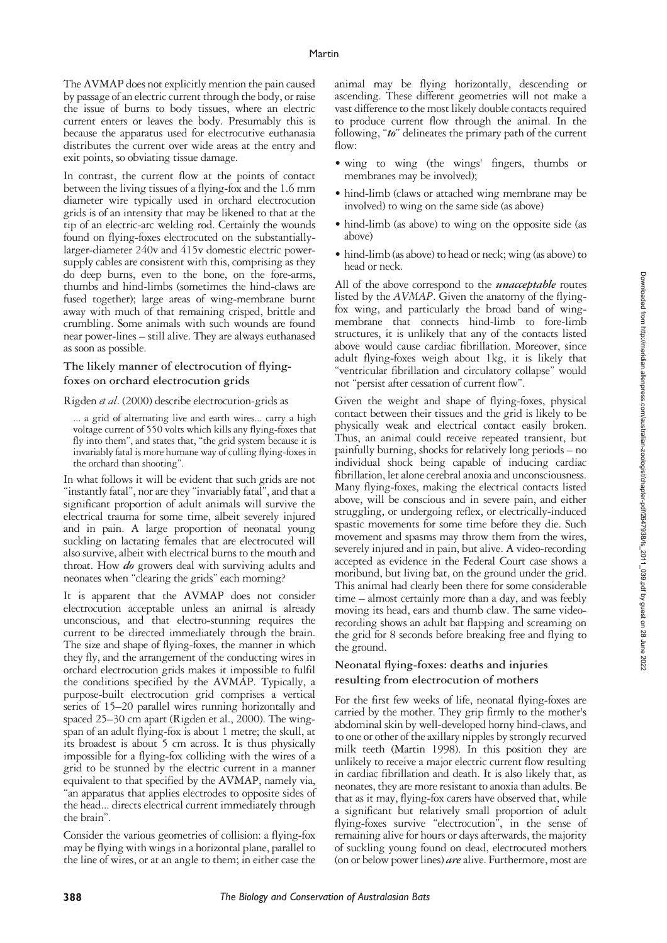The AVMAP does not explicitly mention the pain caused by passage of an electric current through the body, or raise the issue of burns to body tissues, where an electric current enters or leaves the body. Presumably this is because the apparatus used for electrocutive euthanasia distributes the current over wide areas at the entry and exit points, so obviating tissue damage.

In contrast, the current flow at the points of contact between the living tissues of a flying-fox and the 1.6 mm diameter wire typically used in orchard electrocution grids is of an intensity that may be likened to that at the tip of an electric-arc welding rod. Certainly the wounds found on flying-foxes electrocuted on the substantiallylarger-diameter 240v and 415v domestic electric powersupply cables are consistent with this, comprising as they do deep burns, even to the bone, on the fore-arms, thumbs and hind-limbs (sometimes the hind-claws are fused together); large areas of wing-membrane burnt away with much of that remaining crisped, brittle and crumbling. Some animals with such wounds are found near power-lines – still alive. They are always euthanased as soon as possible.

### **The likely manner of electrocution of flyingfoxes on orchard electrocution grids**

Rigden *et al*. (2000) describe electrocution-grids as

... a grid of alternating live and earth wires... carry a high voltage current of 550 volts which kills any flying-foxes that fly into them", and states that, "the grid system because it is invariably fatal is more humane way of culling flying-foxes in the orchard than shooting".

In what follows it will be evident that such grids are not "instantly fatal", nor are they "invariably fatal", and that a significant proportion of adult animals will survive the electrical trauma for some time, albeit severely injured and in pain. A large proportion of neonatal young suckling on lactating females that are electrocuted will also survive, albeit with electrical burns to the mouth and throat. How *do* growers deal with surviving adults and neonates when "clearing the grids" each morning?

It is apparent that the AVMAP does not consider electrocution acceptable unless an animal is already unconscious, and that electro-stunning requires the current to be directed immediately through the brain. The size and shape of flying-foxes, the manner in which they fly, and the arrangement of the conducting wires in orchard electrocution grids makes it impossible to fulfil the conditions specified by the AVMAP. Typically, a purpose-built electrocution grid comprises a vertical series of 15–20 parallel wires running horizontally and spaced 25–30 cm apart (Rigden et al., 2000). The wingspan of an adult flying-fox is about 1 metre; the skull, at its broadest is about 5 cm across. It is thus physically impossible for a flying-fox colliding with the wires of a grid to be stunned by the electric current in a manner equivalent to that specified by the AVMAP, namely via, "an apparatus that applies electrodes to opposite sides of the head... directs electrical current immediately through the brain".

Consider the various geometries of collision: a flying-fox may be flying with wings in a horizontal plane, parallel to the line of wires, or at an angle to them; in either case the

animal may be flying horizontally, descending or ascending. These different geometries will not make a vast difference to the most likely double contacts required to produce current flow through the animal. In the following, "*to*" delineates the primary path of the current flow:

- wing to wing (the wings' fingers, thumbs or membranes may be involved);
- hind-limb (claws or attached wing membrane may be involved) to wing on the same side (as above)
- hind-limb (as above) to wing on the opposite side (as above)
- hind-limb (as above) to head or neck; wing (as above) to head or neck.

All of the above correspond to the *unacceptable* routes listed by the *AVMAP*. Given the anatomy of the flyingfox wing, and particularly the broad band of wingmembrane that connects hind-limb to fore-limb structures, it is unlikely that any of the contacts listed above would cause cardiac fibrillation. Moreover, since adult flying-foxes weigh about 1kg, it is likely that "ventricular fibrillation and circulatory collapse" would not "persist after cessation of current flow".

Given the weight and shape of flying-foxes, physical contact between their tissues and the grid is likely to be physically weak and electrical contact easily broken. Thus, an animal could receive repeated transient, but painfully burning, shocks for relatively long periods – no individual shock being capable of inducing cardiac fibrillation, let alone cerebral anoxia and unconsciousness. Many flying-foxes, making the electrical contacts listed above, will be conscious and in severe pain, and either struggling, or undergoing reflex, or electrically-induced spastic movements for some time before they die. Such movement and spasms may throw them from the wires, severely injured and in pain, but alive. A video-recording accepted as evidence in the Federal Court case shows a moribund, but living bat, on the ground under the grid. This animal had clearly been there for some considerable time – almost certainly more than a day, and was feebly moving its head, ears and thumb claw. The same videorecording shows an adult bat flapping and screaming on the grid for 8 seconds before breaking free and flying to the ground.

#### **Neonatal flying-foxes: deaths and injuries resulting from electrocution of mothers**

For the first few weeks of life, neonatal flying-foxes are carried by the mother. They grip firmly to the mother's abdominal skin by well-developed horny hind-claws, and to one or other of the axillary nipples by strongly recurved milk teeth (Martin 1998). In this position they are unlikely to receive a major electric current flow resulting in cardiac fibrillation and death. It is also likely that, as neonates, they are more resistant to anoxia than adults. Be that as it may, flying-fox carers have observed that, while a significant but relatively small proportion of adult flying-foxes survive "electrocution", in the sense of remaining alive for hours or days afterwards, the majority of suckling young found on dead, electrocuted mothers (on or below power lines) *are* alive. Furthermore, most are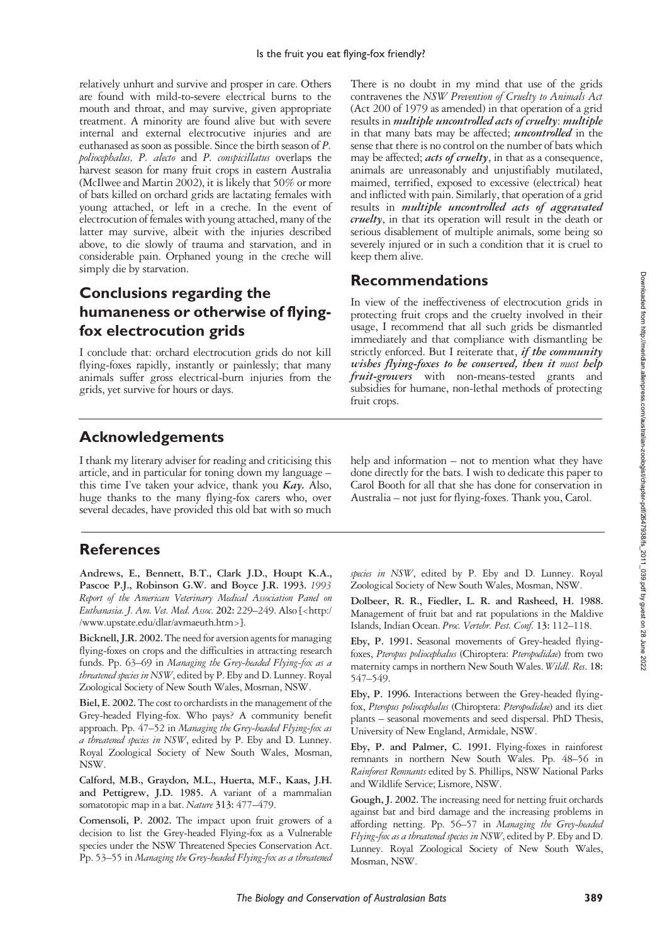relatively unhurt and survive and prosper in care. Others are found with mild-to-severe electrical burns to the mouth and throat, and may survive, given appropriate treatment. A minority are found alive but with severe internal and external electrocutive injuries and are euthanased as soon as possible. Since the birth season of *P. poliocephalus, P. alecto* and *P. conspicillatus* overlaps the harvest season for many fruit crops in eastern Australia (McIlwee and Martin 2002), it is likely that 50% or more of bats killed on orchard grids are lactating females with young attached, or left in a creche. In the event of electrocution of females with young attached, many of the latter may survive, albeit with the injuries described above, to die slowly of trauma and starvation, and in considerable pain. Orphaned young in the creche will simply die by starvation.

### **Conclusions regarding the humaneness or otherwise of flyingfox electrocution grids**

I conclude that: orchard electrocution grids do not kill flying-foxes rapidly, instantly or painlessly; that many animals suffer gross electrical-burn injuries from the grids, yet survive for hours or days.

There is no doubt in my mind that use of the grids contravenes the *NSW Prevention of Cruelty to Animals Act* (Act 200 of 1979 as amended) in that operation of a grid results in *multiple uncontrolled acts of cruelty*: *multiple* in that many bats may be affected; *uncontrolled* in the sense that there is no control on the number of bats which may be affected; *acts of cruelty*, in that as a consequence, animals are unreasonably and unjustifiably mutilated, maimed, terrified, exposed to excessive (electrical) heat and inflicted with pain. Similarly, that operation of a grid results in *multiple uncontrolled acts of aggravated cruelty*, in that its operation will result in the death or serious disablement of multiple animals, some being so severely injured or in such a condition that it is cruel to keep them alive.

### **Recommendations**

In view of the ineffectiveness of electrocution grids in protecting fruit crops and the cruelty involved in their usage, I recommend that all such grids be dismantled immediately and that compliance with dismantling be strictly enforced. But I reiterate that, *if the community wishes flying-foxes to be conserved, then it must help fruit-growers* with non-means-tested grants and subsidies for humane, non-lethal methods of protecting fruit crops.

### **Acknowledgements**

I thank my literary adviser for reading and criticising this article, and in particular for toning down my language – this time I've taken your advice, thank you *Kay.* Also, huge thanks to the many flying-fox carers who, over several decades, have provided this old bat with so much

**References**

**Andrews, E., Bennett, B.T., Clark J.D., Houpt K.A., Pascoe P.J., Robinson G.W. and Boyce J.R. 1993.** *1993 Report of the American Veterinary Medical Association Panel on Euthanasia. J. Am. Vet. Med. Assoc.* **202:** 229–249. Also [<http:/ /www.upstate.edu/dlar/avmaeuth.htm>].

**Bicknell, J.R. 2002.** The need for aversion agents for managing flying-foxes on crops and the difficulties in attracting research funds. Pp. 63–69 in *Managing the Grey-headed Flying-fox as a threatened species in NSW*, edited by P. Eby and D. Lunney. Royal Zoological Society of New South Wales, Mosman, NSW.

**Biel, E. 2002.** The cost to orchardists in the management of the Grey-headed Flying-fox. Who pays? A community benefit approach. Pp. 47–52 in *Managing the Grey-headed Flying-fox as a threatened species in NSW*, edited by P. Eby and D. Lunney. Royal Zoological Society of New South Wales, Mosman, NSW.

**Calford, M.B., Graydon, M.L., Huerta, M.F., Kaas, J.H. and Pettigrew, J.D. 1985.** A variant of a mammalian somatotopic map in a bat. *Nature* **313:** 477–479.

**Comensoli, P. 2002.** The impact upon fruit growers of a decision to list the Grey-headed Flying-fox as a Vulnerable species under the NSW Threatened Species Conservation Act. Pp. 53–55 in *Managing the Grey-headed Flying-fox as a threatened* help and information – not to mention what they have done directly for the bats. I wish to dedicate this paper to Carol Booth for all that she has done for conservation in Australia – not just for flying-foxes. Thank you, Carol.

*species in NSW*, edited by P. Eby and D. Lunney. Royal Zoological Society of New South Wales, Mosman, NSW.

**Dolbeer, R. R., Fiedler, L. R. and Rasheed, H. 1988.** Management of fruit bat and rat populations in the Maldive Islands, Indian Ocean. *Proc. Vertebr. Pest. Conf.* **13:** 112–118.

**Eby, P. 1991.** Seasonal movements of Grey-headed flyingfoxes, *Pteropus poliocephalus* (Chiroptera: *Pteropodidae*) from two maternity camps in northern New South Wales. *Wildl. Res*. **18:** 547–549.

**Eby, P. 1996.** Interactions between the Grey-headed flyingfox, *Pteropus poliocephalus* (Chiroptera: *Pteropodidae*) and its diet plants – seasonal movements and seed dispersal. PhD Thesis, University of New England, Armidale, NSW.

**Eby, P. and Palmer, C. 1991.** Flying-foxes in rainforest remnants in northern New South Wales. Pp. 48–56 in *Rainforest Remnants* edited by S. Phillips, NSW National Parks and Wildlife Service; Lismore, NSW.

**Gough, J. 2002.** The increasing need for netting fruit orchards against bat and bird damage and the increasing problems in affording netting. Pp. 56–57 in *Managing the Grey-headed Flying-fox as a threatened species in NSW*, edited by P. Eby and D. Lunney. Royal Zoological Society of New South Wales, Mosman, NSW.